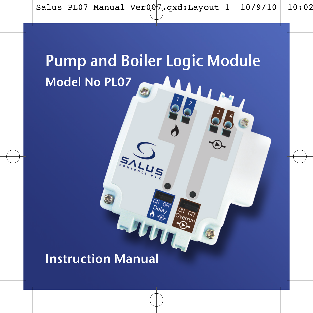ኔ

64

# Pump and Boiler Logic Module Model No PL07

**SVILUS** 

## Instruction Manual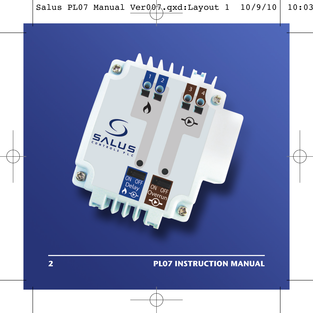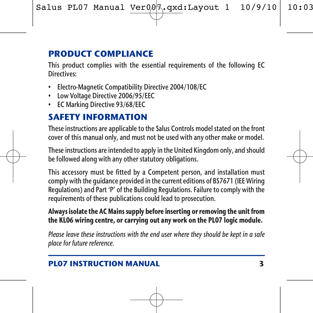

#### **PRODUCT COMPLIANCE**

This product complies with the essential requirements of the following EC Directives:

- Electro-Magnetic Compatibility Directive 2004/108/EC
- Low Voltage Directive 2006/95/EEC
- EC Marking Directive 93/68/EEC

#### **SAFETY INFORMATION**

These instructions are applicable to the Salus Controls model stated on the front cover of this manual only, and must not be used with any other make or model.

These instructions are intended to apply in the United Kingdom only, and should be followed along with any other statutory obligations.

This accessory must be fitted by a Competent person, and installation must comply with the guidance provided in the current editions of BS7671 (IEE Wiring Regulations) and Part 'P' of the Building Regulations. Failure to comply with the requirements of these publications could lead to prosecution.

#### **Always isolate the AC Mains supply before inserting or removing the unit from the KL06 wiring centre, or carrying out any work on the PL07 logic module.**

Please leave these instructions with the end user where they should be kept in a safe place for future reference.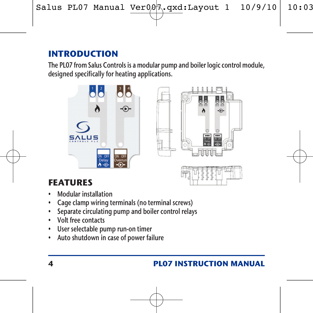

#### **INTRODUCTION**

The PL07 from Salus Controls is a modular pump and boiler logic control module, designed specifically for heating applications.





#### **FEATURES**

- Modular installation
- Cage clamp wiring terminals (no terminal screws)
- Separate circulating pump and boiler control relays
- Volt free contacts
- User selectable pump run-on timer
- Auto shutdown in case of power failure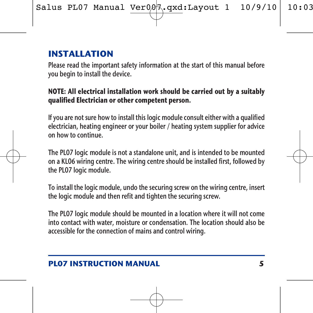#### **INSTALLATION**

Please read the important safety information at the start of this manual before you begin to install the device.

#### **NOTE: All electrical installation work should be carried out by a suitably qualified Electrician or other competent person.**

If you are not sure how to install this logic module consult either with a qualified electrician, heating engineer or your boiler / heating system supplier for advice on how to continue.

The PL07 logic module is not a standalone unit, and is intended to be mounted on a KL06 wiring centre. The wiring centre should be installed first, followed by the PL07 logic module.

To install the logic module, undo the securing screw on the wiring centre, insert the logic module and then refit and tighten the securing screw.

The PL07 logic module should be mounted in a location where it will not come into contact with water, moisture or condensation. The location should also be accessible for the connection of mains and control wiring.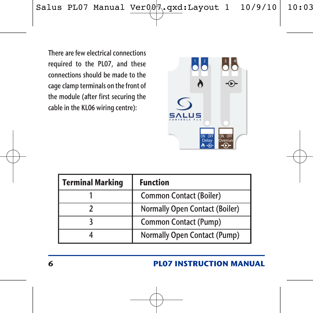There are few electrical connections required to the PL07, and these connections should be made to the cage clamp terminals on the front of the module (after first securing the cable in the KL06 wiring centre):



| <b>Terminal Marking</b> | <b>Function</b>                |
|-------------------------|--------------------------------|
|                         | <b>Common Contact (Boiler)</b> |
|                         | Normally Open Contact (Boiler) |
|                         | Common Contact (Pump)          |
|                         | Normally Open Contact (Pump)   |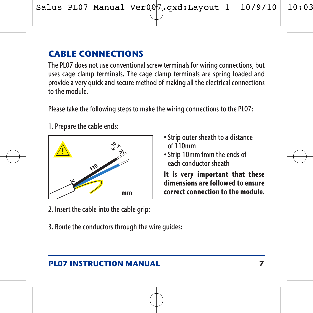

#### **CABLE CONNECTIONS**

The PL07 does not use conventional screw terminals for wiring connections, but uses cage clamp terminals. The cage clamp terminals are spring loaded and provide a very quick and secure method of making all the electrical connections to the module.

Please take the following steps to make the wiring connections to the PL07:



- 2. Insert the cable into the cable grip:
	-
- 3. Route the conductors through the wire guides:
- Strip outer sheath to a distance  $of$  110mm
- Strip 10mm from the ends of each conductor sheath

**It is very important that these dimensions are followed to ensure correct connection to the module.**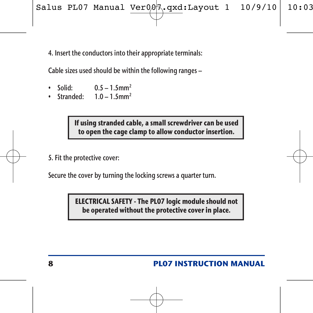Salus PL07 Manual Ver00 $\frac{1}{2}$ .qxd:Layout 1 10/9/10 10:03

4. Insert the conductors into their appropriate terminals:

Cable sizes used should be within the following ranges –

- Solid:  $0.5 1.5$ mm<sup>2</sup>
- Stranded:  $1.0 1.5$ mm<sup>2</sup>

**If using stranded cable, a small screwdriver can be used to open the cage clamp to allow conductor insertion.**

5. Fit the protective cover:

Secure the cover by turning the locking screws a quarter turn.

**ELECTRICAL SAFETY - The PL07 logic module should not be operated without the protective cover in place.**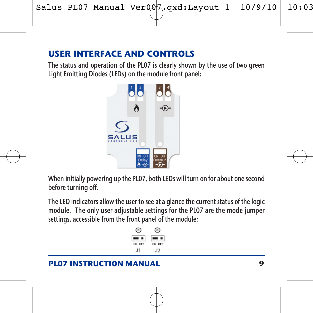

#### **USER INTERFACE AND CONTROLS**

The status and operation of the PL07 is clearly shown by the use of two green Light Emitting Diodes (LEDs) on the module front panel:



When initially powering up the PL07, both LEDs will turn on for about one second before turning off.

The LED indicators allow the user to see at a glance the current status of the logic module. The only user adjustable settings for the PL07 are the mode jumper settings, accessible from the front panel of the module:

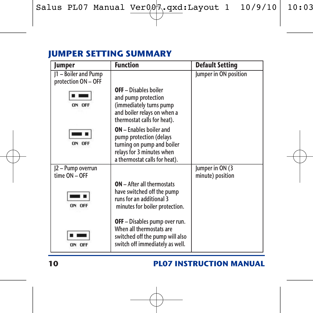Salus PL07 Manual  $\frac{\text{Ver00}\times \text{gxd}}{\text{Arg}}$ :Layout 1 10/9/10 10:03

#### **JUMPER SETTING SUMMARY**

| Jumper                                      | <b>Function</b>                                                                                                                                       | <b>Default Setting</b>               |
|---------------------------------------------|-------------------------------------------------------------------------------------------------------------------------------------------------------|--------------------------------------|
| J1 - Boiler and Pump<br>protection ON - OFF |                                                                                                                                                       | Jumper in ON position                |
| ON OFF                                      | <b>OFF</b> - Disables boiler<br>and pump protection<br>(immediately turns pump<br>and boiler relays on when a<br>thermostat calls for heat).          |                                      |
| ON OFF                                      | <b>ON</b> - Enables boiler and<br>pump protection (delays<br>turning on pump and boiler<br>relays for 3 minutes when<br>a thermostat calls for heat). |                                      |
| 12 – Pump overrun<br>time ON - OFF          |                                                                                                                                                       | Jumper in ON (3)<br>minute) position |
| ON OFF                                      | <b>ON</b> - After all thermostats<br>have switched off the pump<br>runs for an additional 3<br>minutes for boiler protection.                         |                                      |
| <b>DFF</b>                                  | <b>OFF</b> – Disables pump over run.<br>When all thermostats are<br>switched off the pump will also<br>switch off immediately as well.                |                                      |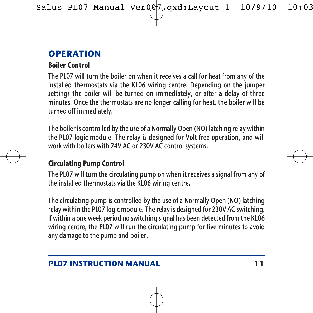#### **OPERATION**

#### **Boiler Control**

The PL07 will turn the boiler on when it receives a call for heat from any of the installed thermostats via the KL06 wiring centre. Depending on the jumper settings the boiler will be turned on immediately, or after a delay of three minutes. Once the thermostats are no longer calling for heat, the boiler will be turned off immediately.

The boiler is controlled by the use of a Normally Open (NO) latching relay within the PL07 logic module. The relay is designed for Volt-free operation, and will work with boilers with 24V AC or 230V AC control systems.

#### **Circulating Pump Control**

The PL07 will turn the circulating pump on when it receives a signal from any of the installed thermostats via the KL06 wiring centre.

The circulating pump is controlled by the use of a Normally Open (NO) latching relay within the PL07 logic module. The relay is designed for 230V AC switching. If within a one week period no switching signal has been detected from the KL06 wiring centre, the PL07 will run the circulating pump for five minutes to avoid any damage to the pump and boiler.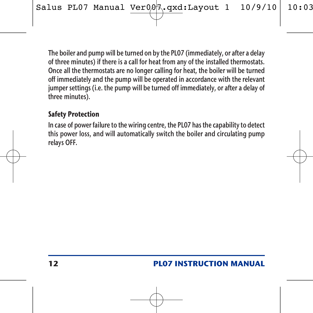The boiler and pump will be turned on by the PL07 (immediately, or after a delay of three minutes) if there is a call for heat from any of the installed thermostats. Once all the thermostats are no longer calling for heat, the boiler will be turned off immediately and the pump will be operated in accordance with the relevant jumper settings (i.e. the pump will be turned off immediately, or after a delay of three minutes).

#### **Safety Protection**

In case of power failure to the wiring centre, the PL07 has the capability to detect this power loss, and will automatically switch the boiler and circulating pump relays OFF.

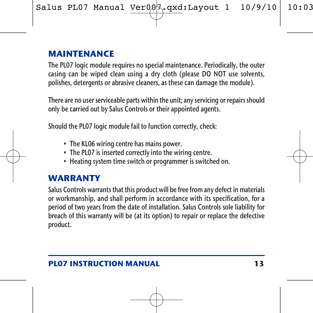#### **MAINTENANCE**

The PL07 logic module requires no special maintenance. Periodically, the outer casing can be wiped clean using a dry cloth (please DO NOT use solvents, polishes, detergents or abrasive cleaners, as these can damage the module).

There are no user serviceable parts within the unit; any servicing or repairs should only be carried out by Salus Controls or their appointed agents.

Should the PL07 logic module fail to function correctly, check:

- The KL06 wiring centre has mains power.
- The PL07 is inserted correctly into the wiring centre.
- Heating system time switch or programmer is switched on.

#### **WARRANTY**

Salus Controls warrants that this product will be free from any defect in materials or workmanship, and shall perform in accordance with its specification, for a period of two years from the date of installation. Salus Controls sole liability for breach of this warranty will be (at its option) to repair or replace the defective product.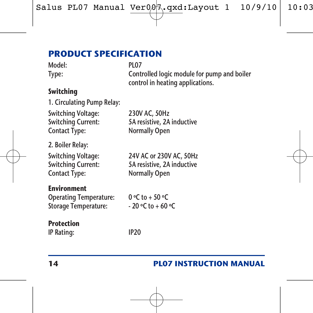#### **PRODUCT SPECIFICATION**

| Model: | <b>PI 07</b>                                |
|--------|---------------------------------------------|
| Type:  | Controlled logic module for pump and boiler |
|        | control in heating applications.            |

#### **Switching**

1. Circulating Pump Relay:

Switching Voltage: 230V AC, 50Hz<br>Switching Current: 5A resistive, 2A Contact Type: Normally Open

5A resistive, 2A inductive

2. Boiler Relay:

Switching Voltage: 24V AC or 230V AC, 50Hz<br>
Solitching Current: 5A resistive, 2A inductive Switching Current: 5A resistive, 2A inductive<br>
Contact Type: 000 Normally Open Normally Open

#### **Environment**

Operating Temperature:  $0 °C$  to + 50 °C<br>Storage Temperature:  $-20 °C$  to + 60 °C Storage Temperature:

#### **Protection**

IP Rating: IP20

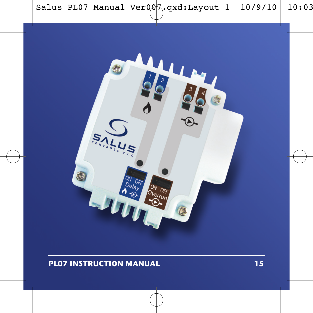